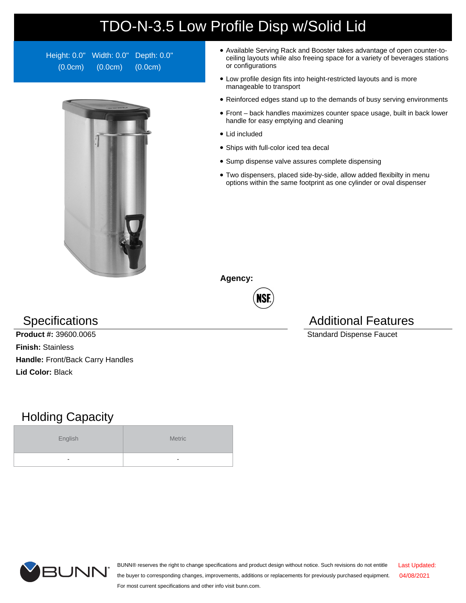## TDO-N-3.5 Low Profile Disp w/Solid Lid

Height: 0.0" Width: 0.0" Depth: 0.0" (0.0cm) (0.0cm) (0.0cm)



- Available Serving Rack and Booster takes advantage of open counter-toceiling layouts while also freeing space for a variety of beverages stations or configurations
- Low profile design fits into height-restricted layouts and is more manageable to transport
- Reinforced edges stand up to the demands of busy serving environments
- Front back handles maximizes counter space usage, built in back lower handle for easy emptying and cleaning
- Lid included
- Ships with full-color iced tea decal
- Sump dispense valve assures complete dispensing
- Two dispensers, placed side-by-side, allow added flexibilty in menu options within the same footprint as one cylinder or oval dispenser

**Agency:**



**Product #:** 39600.0065 Standard Dispense Faucet **Finish:** Stainless **Handle:** Front/Back Carry Handles **Lid Color:** Black

## Holding Capacity

| English                  | Metric |  |  |  |
|--------------------------|--------|--|--|--|
| $\overline{\phantom{a}}$ | -      |  |  |  |





BUNN® reserves the right to change specifications and product design without notice. Such revisions do not entitle the buyer to corresponding changes, improvements, additions or replacements for previously purchased equipment. For most current specifications and other info visit bunn.com. Last Updated: 04/08/2021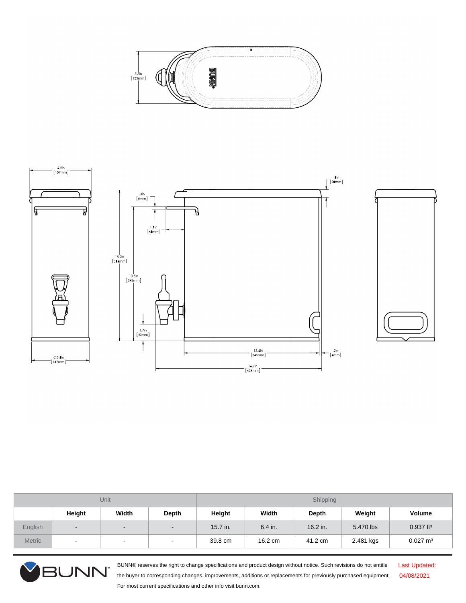



| Unit          |        |                          | Shipping                 |          |           |          |           |                         |
|---------------|--------|--------------------------|--------------------------|----------|-----------|----------|-----------|-------------------------|
|               | Height | Width                    | Depth                    | Height   | Width     | Depth    | Weight    | Volume                  |
| English       | $\sim$ | $\overline{\phantom{a}}$ | $\overline{\phantom{0}}$ | 15.7 in. | $6.4$ in. | 16.2 in. | 5.470 lbs | $0.937$ ft <sup>3</sup> |
| <b>Metric</b> | $\sim$ | $\blacksquare$           | $\sim$                   | 39.8 cm  | 16.2 cm   | 41.2 cm  | 2.481 kgs | $0.027 \text{ m}^3$     |



BUNN® reserves the right to change specifications and product design without notice. Such revisions do not entitle the buyer to corresponding changes, improvements, additions or replacements for previously purchased equipment. For most current specifications and other info visit bunn.com.

Last Updated: 04/08/2021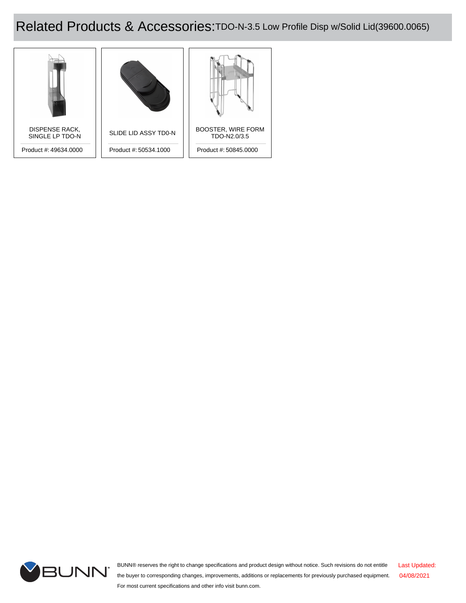## Related Products & Accessories: TDO-N-3.5 Low Profile Disp w/Solid Lid(39600.0065)





BUNN® reserves the right to change specifications and product design without notice. Such revisions do not entitle the buyer to corresponding changes, improvements, additions or replacements for previously purchased equipment. For most current specifications and other info visit bunn.com. Last Updated: 04/08/2021